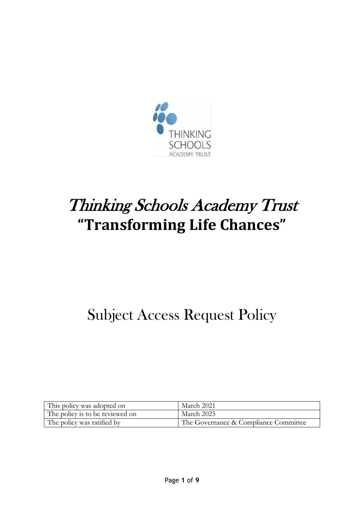

# Thinking Schools Academy Trust **"Transforming Life Chances"**

# Subject Access Request Policy

| This policy was adopted on      | March 2021                            |
|---------------------------------|---------------------------------------|
| The policy is to be reviewed on | March 2025                            |
| The policy was ratified by      | The Governance & Compliance Committee |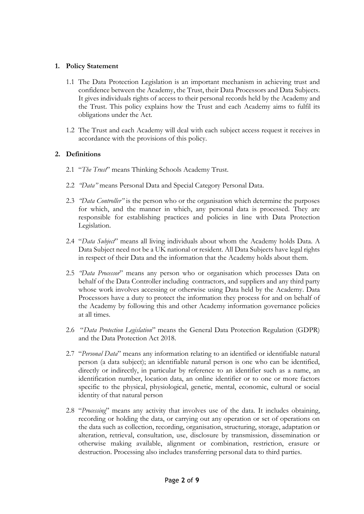#### **1. Policy Statement**

- 1.1 The Data Protection Legislation is an important mechanism in achieving trust and confidence between the Academy, the Trust, their Data Processors and Data Subjects. It gives individuals rights of access to their personal records held by the Academy and the Trust. This policy explains how the Trust and each Academy aims to fulfil its obligations under the Act.
- 1.2 The Trust and each Academy will deal with each subject access request it receives in accordance with the provisions of this policy.

#### **2. Definitions**

- 2.1 "*The Trust*" means Thinking Schools Academy Trust.
- 2.2 *"Data"* means Personal Data and Special Category Personal Data.
- 2.3 *"Data Controller"* is the person who or the organisation which determine the purposes for which, and the manner in which, any personal data is processed. They are responsible for establishing practices and policies in line with Data Protection Legislation.
- 2.4 "*Data Subject*" means all living individuals about whom the Academy holds Data. A Data Subject need not be a UK national or resident. All Data Subjects have legal rights in respect of their Data and the information that the Academy holds about them.
- 2.5 *"Data Processor*" means any person who or organisation which processes Data on behalf of the Data Controller including contractors, and suppliers and any third party whose work involves accessing or otherwise using Data held by the Academy. Data Processors have a duty to protect the information they process for and on behalf of the Academy by following this and other Academy information governance policies at all times.
- 2.6 "*Data Protection Legislation*" means the General Data Protection Regulation (GDPR) and the Data Protection Act 2018.
- 2.7 "*Personal Data*" means any information relating to an identified or identifiable natural person (a data subject); an identifiable natural person is one who can be identified, directly or indirectly, in particular by reference to an identifier such as a name, an identification number, location data, an online identifier or to one or more factors specific to the physical, physiological, genetic, mental, economic, cultural or social identity of that natural person
- 2.8 "*Processing*" means any activity that involves use of the data. It includes obtaining, recording or holding the data, or carrying out any operation or set of operations on the data such as collection, recording, organisation, structuring, storage, adaptation or alteration, retrieval, consultation, use, disclosure by transmission, dissemination or otherwise making available, alignment or combination, restriction, erasure or destruction. Processing also includes transferring personal data to third parties.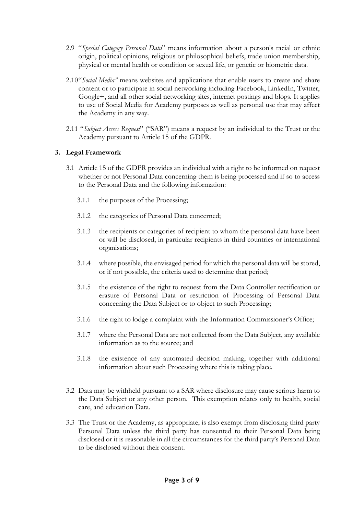- 2.9 "*Special Category Personal Data*" means information about a person's racial or ethnic origin, political opinions, religious or philosophical beliefs, trade union membership, physical or mental health or condition or sexual life, or genetic or biometric data.
- 2.10"*Social Media"* means websites and applications that enable users to create and share content or to participate in social networking including Facebook, LinkedIn, Twitter, Google+, and all other social networking sites, internet postings and blogs. It applies to use of Social Media for Academy purposes as well as personal use that may affect the Academy in any way.
- 2.11 "*Subject Access Request*" ("SAR") means a request by an individual to the Trust or the Academy pursuant to Article 15 of the GDPR.

#### **3. Legal Framework**

- 3.1 Article 15 of the GDPR provides an individual with a right to be informed on request whether or not Personal Data concerning them is being processed and if so to access to the Personal Data and the following information:
	- 3.1.1 the purposes of the Processing;
	- 3.1.2 the categories of Personal Data concerned;
	- 3.1.3 the recipients or categories of recipient to whom the personal data have been or will be disclosed, in particular recipients in third countries or international organisations;
	- 3.1.4 where possible, the envisaged period for which the personal data will be stored, or if not possible, the criteria used to determine that period;
	- 3.1.5 the existence of the right to request from the Data Controller rectification or erasure of Personal Data or restriction of Processing of Personal Data concerning the Data Subject or to object to such Processing;
	- 3.1.6 the right to lodge a complaint with the Information Commissioner's Office;
	- 3.1.7 where the Personal Data are not collected from the Data Subject, any available information as to the source; and
	- 3.1.8 the existence of any automated decision making, together with additional information about such Processing where this is taking place.
- 3.2 Data may be withheld pursuant to a SAR where disclosure may cause serious harm to the Data Subject or any other person. This exemption relates only to health, social care, and education Data.
- 3.3 The Trust or the Academy, as appropriate, is also exempt from disclosing third party Personal Data unless the third party has consented to their Personal Data being disclosed or it is reasonable in all the circumstances for the third party's Personal Data to be disclosed without their consent.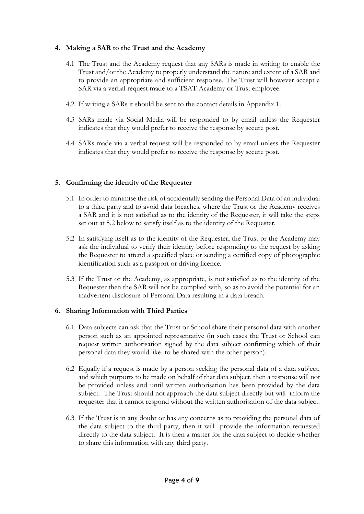#### **4. Making a SAR to the Trust and the Academy**

- 4.1 The Trust and the Academy request that any SARs is made in writing to enable the Trust and/or the Academy to properly understand the nature and extent of a SAR and to provide an appropriate and sufficient response. The Trust will however accept a SAR via a verbal request made to a TSAT Academy or Trust employee.
- 4.2 If writing a SARs it should be sent to the contact details in Appendix 1.
- 4.3 SARs made via Social Media will be responded to by email unless the Requester indicates that they would prefer to receive the response by secure post.
- 4.4 SARs made via a verbal request will be responded to by email unless the Requester indicates that they would prefer to receive the response by secure post.

#### **5. Confirming the identity of the Requester**

- 5.1 In order to minimise the risk of accidentally sending the Personal Data of an individual to a third party and to avoid data breaches, where the Trust or the Academy receives a SAR and it is not satisfied as to the identity of the Requester, it will take the steps set out at 5.2 below to satisfy itself as to the identity of the Requester.
- 5.2 In satisfying itself as to the identity of the Requester, the Trust or the Academy may ask the individual to verify their identity before responding to the request by asking the Requester to attend a specified place or sending a certified copy of photographic identification such as a passport or driving licence.
- 5.3 If the Trust or the Academy, as appropriate, is not satisfied as to the identity of the Requester then the SAR will not be complied with, so as to avoid the potential for an inadvertent disclosure of Personal Data resulting in a data breach.

#### **6. Sharing Information with Third Parties**

- 6.1 Data subjects can ask that the Trust or School share their personal data with another person such as an appointed representative (in such cases the Trust or School can request written authorisation signed by the data subject confirming which of their personal data they would like to be shared with the other person).
- 6.2 Equally if a request is made by a person seeking the personal data of a data subject, and which purports to be made on behalf of that data subject, then a response will not be provided unless and until written authorisation has been provided by the data subject. The Trust should not approach the data subject directly but will inform the requester that it cannot respond without the written authorisation of the data subject.
- 6.3 If the Trust is in any doubt or has any concerns as to providing the personal data of the data subject to the third party, then it will provide the information requested directly to the data subject. It is then a matter for the data subject to decide whether to share this information with any third party.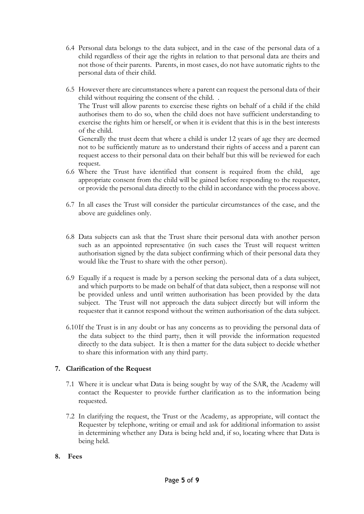- 6.4 Personal data belongs to the data subject, and in the case of the personal data of a child regardless of their age the rights in relation to that personal data are theirs and not those of their parents. Parents, in most cases, do not have automatic rights to the personal data of their child.
- 6.5 However there are circumstances where a parent can request the personal data of their child without requiring the consent of the child. . The Trust will allow parents to exercise these rights on behalf of a child if the child authorises them to do so, when the child does not have sufficient understanding to exercise the rights him or herself, or when it is evident that this is in the best interests of the child.

Generally the trust deem that where a child is under 12 years of age they are deemed not to be sufficiently mature as to understand their rights of access and a parent can request access to their personal data on their behalf but this will be reviewed for each request.

- 6.6 Where the Trust have identified that consent is required from the child, age appropriate consent from the child will be gained before responding to the requester, or provide the personal data directly to the child in accordance with the process above.
- 6.7 In all cases the Trust will consider the particular circumstances of the case, and the above are guidelines only.
- 6.8 Data subjects can ask that the Trust share their personal data with another person such as an appointed representative (in such cases the Trust will request written authorisation signed by the data subject confirming which of their personal data they would like the Trust to share with the other person).
- 6.9 Equally if a request is made by a person seeking the personal data of a data subject, and which purports to be made on behalf of that data subject, then a response will not be provided unless and until written authorisation has been provided by the data subject. The Trust will not approach the data subject directly but will inform the requester that it cannot respond without the written authorisation of the data subject.
- 6.10If the Trust is in any doubt or has any concerns as to providing the personal data of the data subject to the third party, then it will provide the information requested directly to the data subject. It is then a matter for the data subject to decide whether to share this information with any third party.

# **7. Clarification of the Request**

- 7.1 Where it is unclear what Data is being sought by way of the SAR, the Academy will contact the Requester to provide further clarification as to the information being requested.
- 7.2 In clarifying the request, the Trust or the Academy, as appropriate, will contact the Requester by telephone, writing or email and ask for additional information to assist in determining whether any Data is being held and, if so, locating where that Data is being held.
- **8. Fees**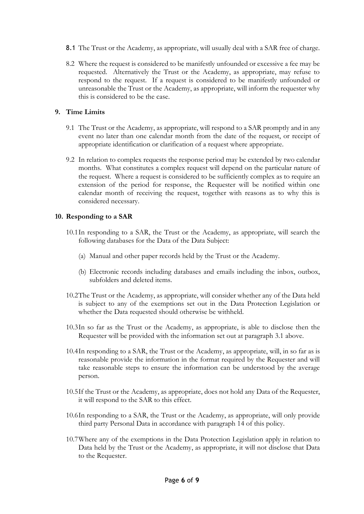- 8.1 The Trust or the Academy, as appropriate, will usually deal with a SAR free of charge.
- 8.2 Where the request is considered to be manifestly unfounded or excessive a fee may be requested. Alternatively the Trust or the Academy, as appropriate, may refuse to respond to the request. If a request is considered to be manifestly unfounded or unreasonable the Trust or the Academy, as appropriate, will inform the requester why this is considered to be the case.

### **9. Time Limits**

- 9.1 The Trust or the Academy, as appropriate, will respond to a SAR promptly and in any event no later than one calendar month from the date of the request, or receipt of appropriate identification or clarification of a request where appropriate.
- 9.2 In relation to complex requests the response period may be extended by two calendar months. What constitutes a complex request will depend on the particular nature of the request. Where a request is considered to be sufficiently complex as to require an extension of the period for response, the Requester will be notified within one calendar month of receiving the request, together with reasons as to why this is considered necessary.

## **10. Responding to a SAR**

- 10.1In responding to a SAR, the Trust or the Academy, as appropriate, will search the following databases for the Data of the Data Subject:
	- (a) Manual and other paper records held by the Trust or the Academy.
	- (b) Electronic records including databases and emails including the inbox, outbox, subfolders and deleted items.
- 10.2The Trust or the Academy, as appropriate, will consider whether any of the Data held is subject to any of the exemptions set out in the Data Protection Legislation or whether the Data requested should otherwise be withheld.
- 10.3In so far as the Trust or the Academy, as appropriate, is able to disclose then the Requester will be provided with the information set out at paragraph 3.1 above.
- 10.4In responding to a SAR, the Trust or the Academy, as appropriate, will, in so far as is reasonable provide the information in the format required by the Requester and will take reasonable steps to ensure the information can be understood by the average person.
- 10.5If the Trust or the Academy, as appropriate, does not hold any Data of the Requester, it will respond to the SAR to this effect.
- 10.6In responding to a SAR, the Trust or the Academy, as appropriate, will only provide third party Personal Data in accordance with paragraph 14 of this policy.
- 10.7Where any of the exemptions in the Data Protection Legislation apply in relation to Data held by the Trust or the Academy, as appropriate, it will not disclose that Data to the Requester.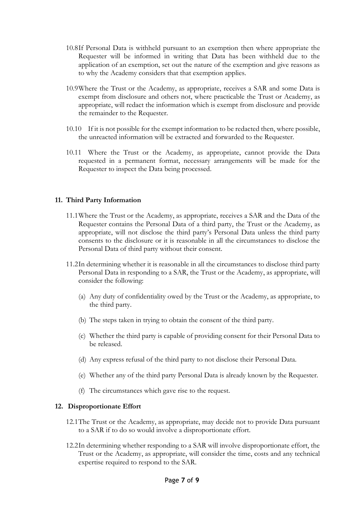- 10.8If Personal Data is withheld pursuant to an exemption then where appropriate the Requester will be informed in writing that Data has been withheld due to the application of an exemption, set out the nature of the exemption and give reasons as to why the Academy considers that that exemption applies.
- 10.9Where the Trust or the Academy, as appropriate, receives a SAR and some Data is exempt from disclosure and others not, where practicable the Trust or Academy, as appropriate, will redact the information which is exempt from disclosure and provide the remainder to the Requester.
- 10.10 If it is not possible for the exempt information to be redacted then, where possible, the unreacted information will be extracted and forwarded to the Requester.
- 10.11 Where the Trust or the Academy, as appropriate, cannot provide the Data requested in a permanent format, necessary arrangements will be made for the Requester to inspect the Data being processed.

#### **11. Third Party Information**

- 11.1Where the Trust or the Academy, as appropriate, receives a SAR and the Data of the Requester contains the Personal Data of a third party, the Trust or the Academy, as appropriate, will not disclose the third party's Personal Data unless the third party consents to the disclosure or it is reasonable in all the circumstances to disclose the Personal Data of third party without their consent.
- 11.2In determining whether it is reasonable in all the circumstances to disclose third party Personal Data in responding to a SAR, the Trust or the Academy, as appropriate, will consider the following:
	- (a) Any duty of confidentiality owed by the Trust or the Academy, as appropriate, to the third party.
	- (b) The steps taken in trying to obtain the consent of the third party.
	- (c) Whether the third party is capable of providing consent for their Personal Data to be released.
	- (d) Any express refusal of the third party to not disclose their Personal Data.
	- (e) Whether any of the third party Personal Data is already known by the Requester.
	- (f) The circumstances which gave rise to the request.

#### **12. Disproportionate Effort**

- 12.1The Trust or the Academy, as appropriate, may decide not to provide Data pursuant to a SAR if to do so would involve a disproportionate effort.
- 12.2In determining whether responding to a SAR will involve disproportionate effort, the Trust or the Academy, as appropriate, will consider the time, costs and any technical expertise required to respond to the SAR.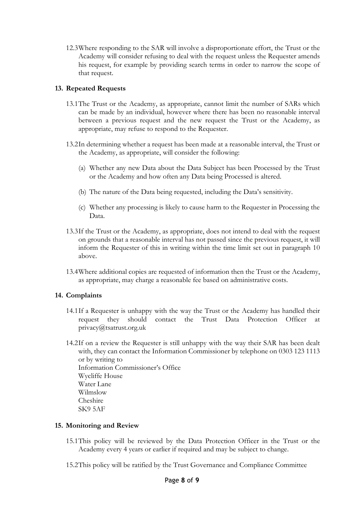12.3Where responding to the SAR will involve a disproportionate effort, the Trust or the Academy will consider refusing to deal with the request unless the Requester amends his request, for example by providing search terms in order to narrow the scope of that request.

#### **13. Repeated Requests**

- 13.1The Trust or the Academy, as appropriate, cannot limit the number of SARs which can be made by an individual, however where there has been no reasonable interval between a previous request and the new request the Trust or the Academy, as appropriate, may refuse to respond to the Requester.
- 13.2In determining whether a request has been made at a reasonable interval, the Trust or the Academy, as appropriate, will consider the following:
	- (a) Whether any new Data about the Data Subject has been Processed by the Trust or the Academy and how often any Data being Processed is altered.
	- (b) The nature of the Data being requested, including the Data's sensitivity.
	- (c) Whether any processing is likely to cause harm to the Requester in Processing the Data.
- 13.3If the Trust or the Academy, as appropriate, does not intend to deal with the request on grounds that a reasonable interval has not passed since the previous request, it will inform the Requester of this in writing within the time limit set out in paragraph 10 above.
- 13.4Where additional copies are requested of information then the Trust or the Academy, as appropriate, may charge a reasonable fee based on administrative costs.

#### **14. Complaints**

- 14.1If a Requester is unhappy with the way the Trust or the Academy has handled their request they should contact the Trust Data Protection Officer at privacy@tsatrust.org.uk
- 14.2If on a review the Requester is still unhappy with the way their SAR has been dealt with, they can contact the Information Commissioner by telephone on 0303 123 1113 or by writing to Information Commissioner's Office Wycliffe House Water Lane Wilmslow Cheshire SK9 5AF

#### **15. Monitoring and Review**

- 15.1This policy will be reviewed by the Data Protection Officer in the Trust or the Academy every 4 years or earlier if required and may be subject to change.
- 15.2This policy will be ratified by the Trust Governance and Compliance Committee